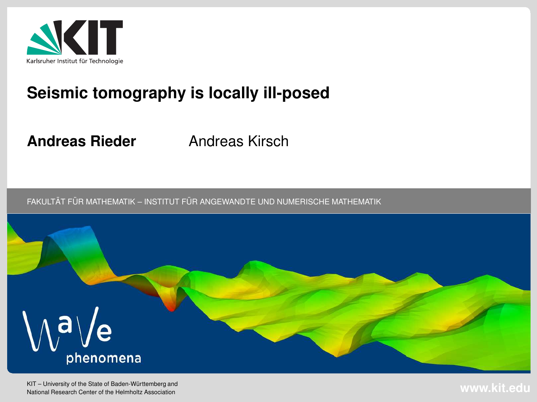

## **Seismic tomography is locally ill-posed**

**Andreas Rieder**

Andreas Kirsch

 $\tt{FAKULTÄT}$  FÜR MATHEMATIK – INSTITUT FÜR ANGEWANDTE UND NUMERISCHE MATHEMATIK



KIT – University of the State of Baden-Württemberg and National Research Center of the Helmholtz Association

**www.kit.edu**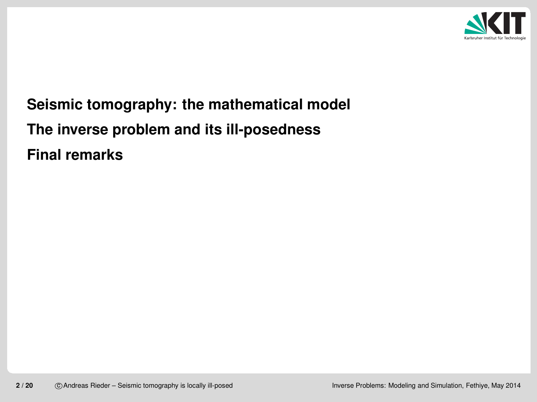

**Seismic [tomography:](#page-2-0) the mathematical model The inverse problem and its [ill-posedness](#page-7-0)Final [remarks](#page-18-0)**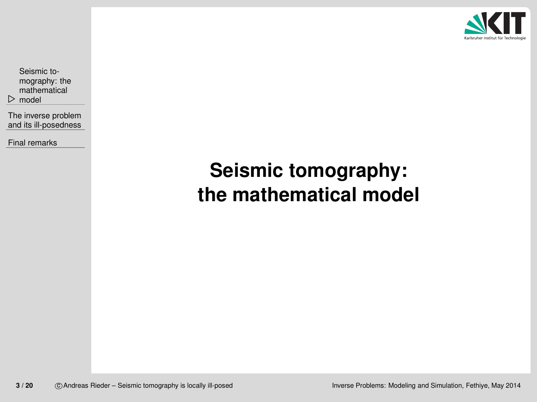

<span id="page-2-0"></span> $\triangleright$  model Seismic tomography: the[mathematical](#page-2-0)

The inverse problemand its [ill-posedness](#page-7-0)

Final [remarks](#page-18-0)

# **Seismic tomography:the mathematical model**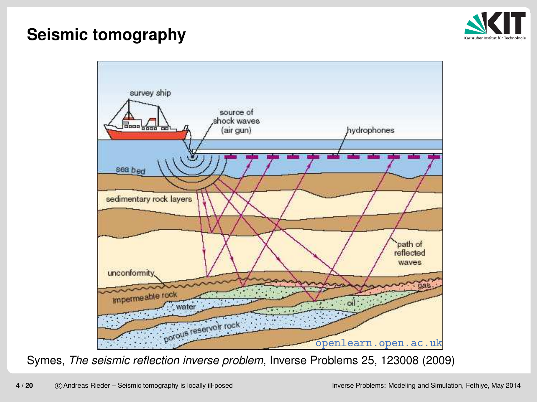## **Seismic tomography**



Symes, *The seismic reflection inverse problem*, Inverse Problems 25, 123008 (2009)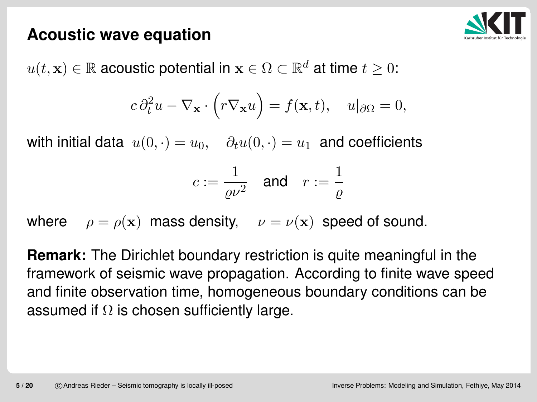#### **Acoustic wave equation**



 $u(t,\mathbf{x})\in\mathbb{R}$  acoustic potential in  $\mathbf{x}\in\Omega\subset\mathbb{R}^d$  at time  $t\geq 0$ :

$$
c\,\partial_t^2 u - \nabla_{\mathbf{x}} \cdot \left(r\nabla_{\mathbf{x}} u\right) = f(\mathbf{x}, t), \quad u|_{\partial\Omega} = 0,
$$

with initial data  $u(0, \cdot) = u_0, \quad \partial_t u(0, \cdot) = u_1$  and coefficients

$$
c:=\frac{1}{\varrho\nu^2}\quad\text{and}\quad r:=\frac{1}{\varrho}
$$

where  $\rho = \rho(\mathbf{x})$  mass density,  $\nu = \nu(\mathbf{x})$  speed of sound.

**Remark:** The Dirichlet boundary restriction is quite meaningful in the framework of seismic wave propagation. According to finite wave speed and finite observation time, homogeneous boundary conditions can beassumed if  $\Omega$  is chosen sufficiently large.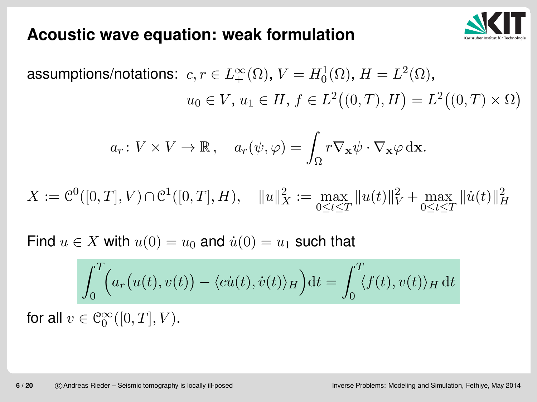

#### **Acoustic wave equation: weak formulation**

assumptions/notations:  $\,c,r\in L_+^\infty$  $\, + \,$  $_{+}^{\infty}(\Omega)$ , V  $=H_0^1$  0 $_{0}^{1}(\Omega),\,H$  $=L^{2}(\Omega),$  $u_0\in V,\,u_1\in H,\,f\in L^2$  $\big((0,T),H\big)$  $=L^2$  $\big((0,T)\times\Omega\big)$ 

$$
a_r: V \times V \to \mathbb{R}
$$
,  $a_r(\psi, \varphi) = \int_{\Omega} r \nabla_{\mathbf{x}} \psi \cdot \nabla_{\mathbf{x}} \varphi \, d\mathbf{x}$ .

 $X:=\mathfrak{C}$  $\mathcal{C}^0([0,T],V)$ ) ∩C $\mathcal{C}^1([0,T], H), \quad \|$  $u \$  $\left| \right|$ 2 $\bar{x} := \max_{0 \leq t \leq T}$  $\parallel$  $u \$  $\left($ t $t)\Vert$ 2 $\tilde{V}$  + max<br> $0 \leq t \leq T$  $\|\dot{u}\|$ t $t)\Vert$ 2H

Find  $u \in X$  with  $u(0) = u_0$  $_0$  and  $\dot{u}(0) = u_1$  $_1$  such that

$$
\int_0^T \Biggl(a_r(u(t), v(t)) - \langle ci(t), \dot{v}(t) \rangle_H\Biggr) dt = \int_0^T \langle f(t), v(t) \rangle_H dt
$$

for all  $v\in \mathcal{C}_0^\infty$ 0 $_0^{\infty}([0,T],V)$ .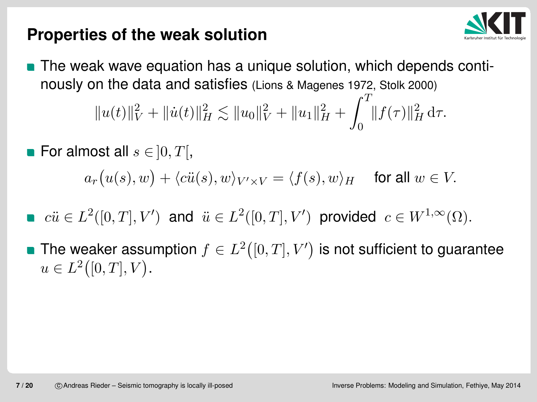### **Properties of the weak solution**



- **The weak wave equation has a unique solution, which depends conti**nously on the data and satisfies (Lions & Magenes 1972, Stolk 2000)  $\parallel$  $u\$  $\left($ t $t)\Vert$ 2 $\,V\,$  $+$   $\|\dot{u}(\)$ t $t)\Vert$ 2 $_H^2 \lesssim$   $\parallel$  $u\$ 0 $|0|$ 2 $\,V\,$  $+$   $\parallel$  $u\$ 1 $\frac{1}{2}$ 2 $_{H}^{2}+$  $\int_0^T$ 0 $\|f\|$  $\tau$  $\tau$ )|| 2 $_H^2\,\mathrm{d}\tau.$
- For almost all  $s\in\,]0,T[$ ,

 $a_r\bigl(u(s),w\bigr) +\langle c \ddot{u}(s), w\rangle_{V' \times V}=$  $\langle f(s), w \rangle_H$  $H$  for all  $w \in V$ .

- $c\ddot{u}\in L^2([0,T],V')$ ) and  $\ddot{u} \in L^2([0,T], V'$ ) provided  $c\in W^{1,\infty}(\Omega)$ .
- The weaker assumption  $f\in L^2$  $\bigl([0,T],V'$ ) is not sufficient to guarantee  $u\in L^2$  $\bigl([0,T],V\bigr).$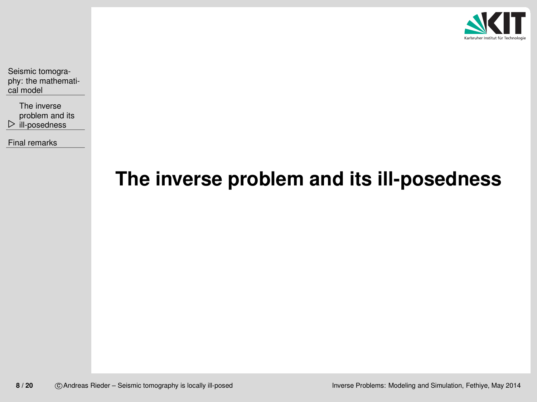

<span id="page-7-0"></span>Seismic tomography: the [mathemati](#page-2-0)cal model

 $\triangleright$  [ill-posedness](#page-7-0) The inverseproblem and its

Final [remarks](#page-18-0)

# **The inverse problem and its ill-posedness**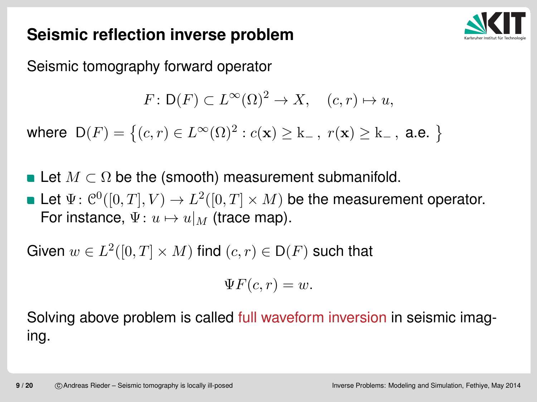

## **Seismic reflection inverse problem**

Seismic tomography forward operator

$$
F: \mathsf{D}(F) \subset L^{\infty}(\Omega)^2 \to X, \quad (c, r) \mapsto u,
$$

where  $\mathsf{D}(F)=\big\{(c,r)\in L^\infty(\Omega)^2$  $^2: c(\mathbf{x})\geq \mathrm{k}_ -$ ,  $r(\mathbf{x}) \geq k_+$  $\vert$   $\vert$  , a.e.  $\big\}$ 

- Let  $M\subset\Omega$  be the (smooth) measurement submanifold.
- Let  $\Psi\colon \mathcal{C}^0([0,T],V)\to L^2([0,T]\times M)$  be the measurement operator.  $\rightarrow$  11  $_{16}$  (trace m For instance,  $\Psi\colon u\mapsto u|_M$  (trace map).

Given  $w\in L^2([0,T]\times M)$  find  $(c, r)\in \mathsf{D}(F)$  such that

$$
\Psi F(c,r)=w.
$$

Solving above problem is called full waveform inversion in seismic imaging.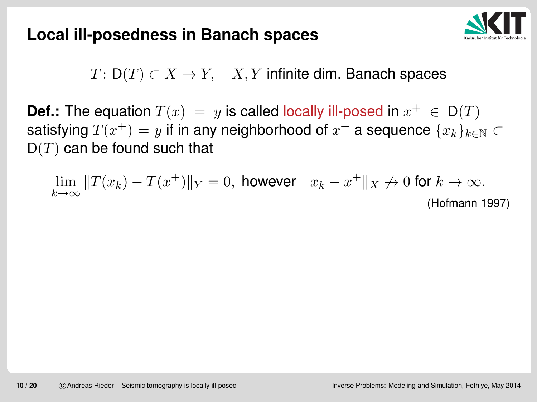

 $T\colon \mathsf{D}(T)\subset X\to Y,\quad X,Y$  infinite dim. Banach spaces

**Def.:** The equation  $T(x) = y$  is called locally ill-posed in  $x^+ \in D(T)$ satisfying  $T(x^+)=y$  if in any neighborhood of  $x^+$  a sequence  $\{x_k\}_{k\in\mathbb{N}}\subset$  $\mathsf{D}(T)$  can be found such that

$$
\lim_{k \to \infty} \|T(x_k) - T(x^+)\|_Y = 0, \text{ however } \|x_k - x^+\|_X \to 0 \text{ for } k \to \infty.
$$

(Hofmann 1997)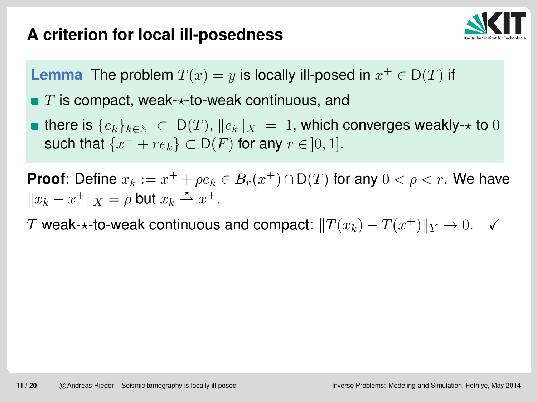## **A criterion for local ill-posedness**



Lemma The problem  $T(x) = y$  is locally ill-posed in  $x^+ \in \mathsf{D}(T)$  if

 $T$  is compact, weak- $\star$ -to-weak continuous, and

there is  $\{e_k\}_{k\in\mathbb{N}}~\subset~\mathsf{D}(T)$ ,  $\|e_k\|_X$ such that  $\{x^+ + re_k\} \subset D(F)$  for any  $r \in ]0,1].$  $\alpha_X \, = \, 1,$  which converges weakly- $\star$  to  $0$ 

**Proof**: Define  $x_k := x^+ + \rho e_k \in B_r(x^+) \cap \mathsf{D}(T)$  for any  $0 < \rho < r.$  We have  $||x_k-x^+||_X=\rho$  but  $x_k \stackrel{\star}{\rightharpoonup} x^+$ . ⋆ $\stackrel{\star}{\rightharpoonup} x^+$ .

 $T$  weak- $\star$ -to-weak continuous and compact:  $\|T(x_k)\|$  $-T(x^+)\|_Y\to 0.$   $\checkmark$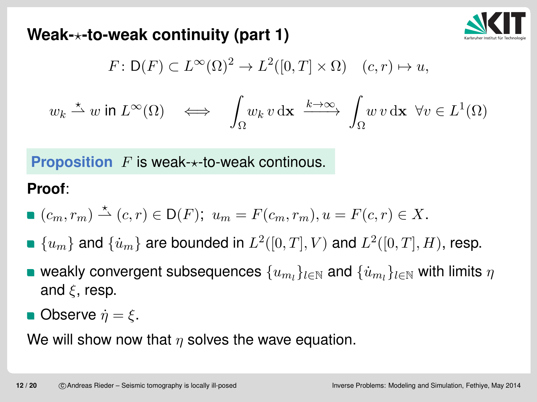

#### **Weak-**⋆**-to-weak continuity (part 1)**

$$
F: \mathsf{D}(F) \subset L^{\infty}(\Omega)^2 \to L^2([0,T] \times \Omega) \quad (c,r) \mapsto u,
$$

$$
w_k \xrightarrow{\star} w \text{ in } L^{\infty}(\Omega) \quad \Longleftrightarrow \quad \int_{\Omega} w_k \, v \, \mathrm{d} \mathbf{x} \xrightarrow{k \to \infty} \int_{\Omega} w \, v \, \mathrm{d} \mathbf{x} \ \ \forall v \in L^1(\Omega)
$$

**Proposition**  $F$  is weak- $\star$ -to-weak continous.

#### **Proof**:

$$
\bullet (c_m, r_m) \stackrel{\star}{\rightharpoonup} (c, r) \in \mathsf{D}(F); \ u_m = F(c_m, r_m), u = F(c, r) \in X.
$$

- $\{u_m\}$  and  $\{\dot{u}_m\}$  are bounded in  $L^2([0,T],V)$  and  $L^2([0,T],H)$ , resp.
- weakly convergent subsequences  $\{u_{m_l}\}_{l\in\mathbb{N}}$  and  $\{\dot{u}_{m_l}\}_{l\in\mathbb{N}}$  with limits  $\eta$ and  $\xi$ , resp.
- Observe  $\dot{\eta} = \xi$ .

We will show now that  $\eta$  solves the wave equation.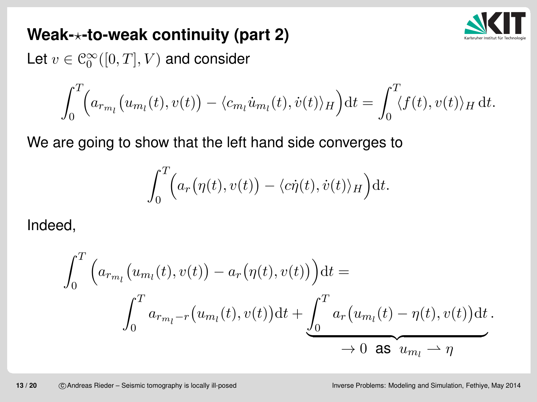

### **Weak-**⋆**-to-weak continuity (part 2)**

Let  $v\in\mathcal{C}_0^\infty([0,T],V)$  and consider

$$
\int_0^T \Bigl(a_{r_{m_l}}(u_{m_l}(t), v(t)) - \langle c_{m_l} u_{m_l}(t), \dot{v}(t) \rangle_H \Bigr) dt = \int_0^T \langle f(t), v(t) \rangle_H dt.
$$

We are going to show that the left hand side converges to

$$
\int_0^T \Bigl(a_r(\eta(t),v(t)) - \langle c\dot{\eta}(t), \dot{v}(t)\rangle_H\Bigr) \mathrm{d}t.
$$

Indeed,

$$
\int_0^T \left( a_{r_{m_l}}(u_{m_l}(t), v(t)) - a_r(\eta(t), v(t)) \right) dt =
$$
\n
$$
\int_0^T a_{r_{m_l}-r}(u_{m_l}(t), v(t)) dt + \underbrace{\int_0^T a_r(u_{m_l}(t) - \eta(t), v(t)) dt}_{\to 0 \text{ as } u_{m_l} \to \eta}.
$$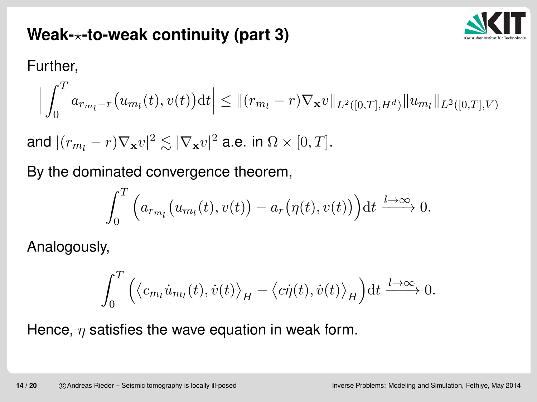

## **Weak-**⋆**-to-weak continuity (part 3)**

Further,

$$
\Big| \int_0^T a_{r_{m_l}-r} \big( u_{m_l}(t), v(t) \big) dt \Big| \leq \| (r_{m_l}-r) \nabla_{\mathbf{x}} v \|_{L^2([0,T],H^d)} \| u_{m_l} \|_{L^2([0,T],V)}
$$

and  $|(r_{m_l}-r)\nabla_{\mathbf{x}}v|^2\lesssim |\nabla_{\mathbf{x}}v|^2$  a.e. in  $\Omega\times[0,T]$ .

By the dominated convergence theorem,

$$
\int_0^T \Big( a_{r_{m_l}}(u_{m_l}(t), v(t)) - a_r(\eta(t), v(t)) \Big) dt \xrightarrow{l \to \infty} 0.
$$

Analogously,

$$
\int_0^T \Big(\langle c_{m_l} \dot{u}_{m_l}(t), \dot{v}(t) \rangle_H - \langle c \dot{\eta}(t), \dot{v}(t) \rangle_H \Big) dt \xrightarrow{l \to \infty} 0.
$$

Hence,  $\eta$  satisfies the wave equation in weak form.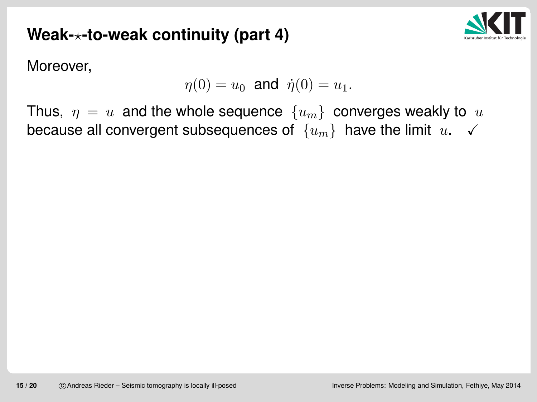## **Weak-**⋆**-to-weak continuity (part 4)**



Moreover,

$$
\eta(0) = u_0
$$
 and  $\dot{\eta}(0) = u_1$ .

Thus,  $\eta = u$  and the whole sequence  $\{u_m\}$  converges weakly to  $u$ because all convergent subsequences of  $\,\{u_m\}\,$  have the limit  $\,u.\,\,\,\,\surd$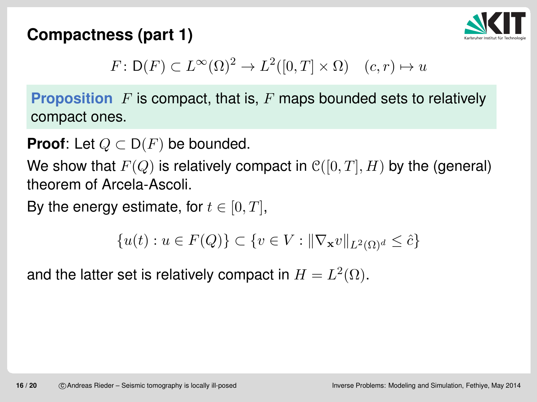## **Compactness (part 1)**



$$
F: \mathsf{D}(F) \subset L^{\infty}(\Omega)^2 \to L^2([0,T] \times \Omega) \quad (c,r) \mapsto u
$$

**Proposition**  $F$  is compact, that is,  $F$  maps bounded sets to relatively compact ones.

**Proof**: Let  $Q \subset D(F)$  be bounded.

We show that  $F(Q)$  is relatively compact in  $\mathcal{C}([0,T],H)$  by the (general) theorem of Arcela-Ascoli.

By the energy estimate, for  $t\in[0,T]$ ,

$$
\{u(t) : u \in F(Q)\} \subset \{v \in V : ||\nabla_{\mathbf{x}}v||_{L^2(\Omega)^d} \leq \hat{c}\}
$$

and the latter set is relatively compact in  $H=L^2(\Omega).$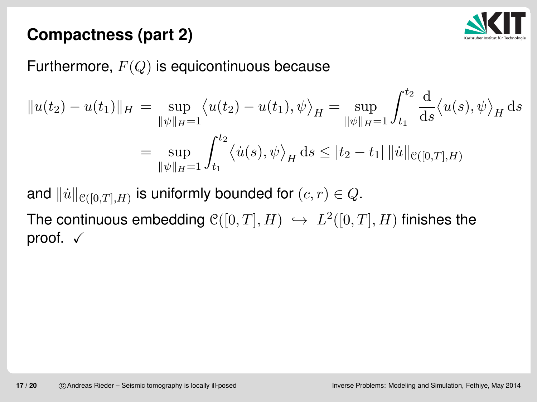

## **Compactness (part 2)**

## Furthermore,  $F(Q)$  is equicontinuous because

$$
||u(t_2) - u(t_1)||_H = \sup_{||\psi||_H = 1} \langle u(t_2) - u(t_1), \psi \rangle_H = \sup_{||\psi||_H = 1} \int_{t_1}^{t_2} \frac{d}{ds} \langle u(s), \psi \rangle_H ds
$$
  
= 
$$
\sup_{||\psi||_H = 1} \int_{t_1}^{t_2} \langle \dot{u}(s), \psi \rangle_H ds \le |t_2 - t_1| ||\dot{u}||_{\mathcal{C}([0,T],H)}
$$

and  $\|\dot{u}\|_{\mathcal{C}([0,T],H)}$  is uniformly bounded for  $(c, r) \in Q.$ 

The continuous embedding  $\mathcal{C}([0,T],H) \hookrightarrow L^2([0,T],H)$  finishes the<br>proof proof.  $\checkmark$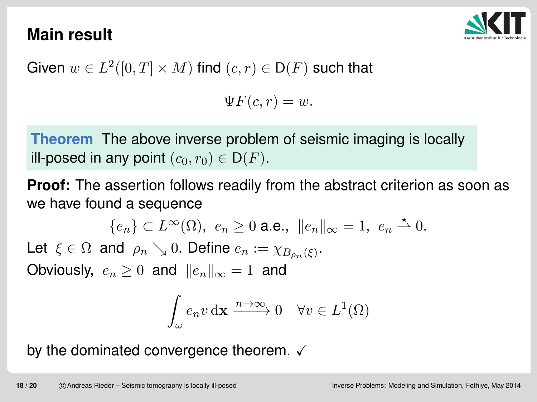## **Main result**



Given  $w\in L^2([0,T]\times M)$  find  $(c,r)\in \mathsf{D}(F)$  such that

 $\Psi F(c,r) = w.$ 

**Theorem** The above inverse problem of seismic imaging is locally<br>ill pesed in any point (e, m)  $\subset$  D(E) ill-posed in any point  $(c_0, r_0) \in \mathsf{D}(F)$ .

**Proof:** The assertion follows readily from the abstract criterion as soon aswe have found <sup>a</sup> sequence

 $\{e_n\}\subset L^\infty(\Omega),\,\,e_n\geq 0$  a.e.,  $\,\|e_n\|_\infty=1,\,\,e_n\overset{\star}{\rightharpoonup} 0.$ Let  $\xi \in \Omega$  and  $\rho_n \searrow 0$ . Define  $e_n := \chi_{B_{\rho_n}(\xi)}$ . Obviously,  $e_n \geq 0$  and  $||e_n||_{\infty} = 1$  and

$$
\int_{\omega} e_n v \, \mathrm{d} \mathbf{x} \xrightarrow{n \to \infty} 0 \quad \forall v \in L^1(\Omega)
$$

by the dominated convergence theorem.  $\checkmark$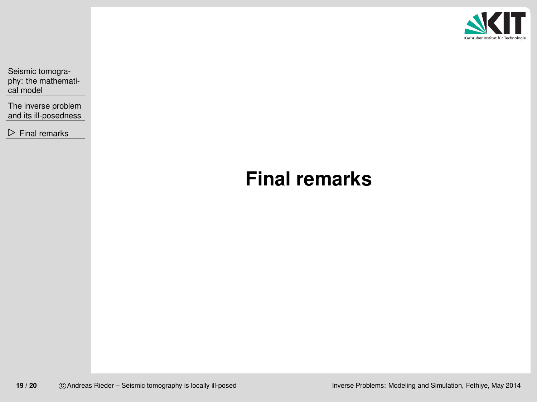

<span id="page-18-0"></span>Seismic tomography: the [mathemati](#page-2-0)cal model

The inverse problem and its [ill-posedness](#page-7-0)

 $\triangleright$  Final [remarks](#page-18-0)

# **Final remarks**